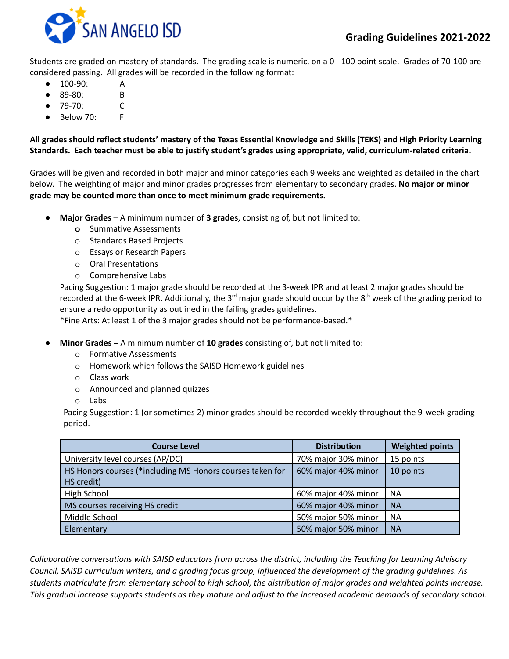

Students are graded on mastery of standards. The grading scale is numeric, on a 0 - 100 point scale. Grades of 70-100 are considered passing. All grades will be recorded in the following format:

- 100-90: A
- 89-80: B
- 79-70: C
- $B$ elow 70: F

# All grades should reflect students' mastery of the Texas Essential Knowledge and Skills (TEKS) and High Priority Learning **Standards. Each teacher must be able to justify student's grades using appropriate, valid, curriculum-related criteria.**

Grades will be given and recorded in both major and minor categories each 9 weeks and weighted as detailed in the chart below. The weighting of major and minor grades progresses from elementary to secondary grades. **No major or minor grade may be counted more than once to meet minimum grade requirements.**

- **● Major Grades** A minimum number of **3 grades**, consisting of, but not limited to:
	- **o** Summative Assessments
	- o Standards Based Projects
	- o Essays or Research Papers
	- o Oral Presentations
	- o Comprehensive Labs

Pacing Suggestion: 1 major grade should be recorded at the 3-week IPR and at least 2 major grades should be recorded at the 6-week IPR. Additionally, the 3<sup>rd</sup> major grade should occur by the 8<sup>th</sup> week of the grading period to ensure a redo opportunity as outlined in the failing grades guidelines.

\*Fine Arts: At least 1 of the 3 major grades should not be performance-based.\*

- **Minor Grades** A minimum number of **10 grades** consisting of, but not limited to:
	- o Formative Assessments
	- o Homework which follows the SAISD Homework guidelines
	- o Class work
	- o Announced and planned quizzes
	- o Labs

Pacing Suggestion: 1 (or sometimes 2) minor grades should be recorded weekly throughout the 9-week grading period.

| <b>Course Level</b>                                       | <b>Distribution</b> | <b>Weighted points</b> |
|-----------------------------------------------------------|---------------------|------------------------|
| University level courses (AP/DC)                          | 70% major 30% minor | 15 points              |
| HS Honors courses (*including MS Honors courses taken for | 60% major 40% minor | 10 points              |
| HS credit)                                                |                     |                        |
| High School                                               | 60% major 40% minor | <b>NA</b>              |
| MS courses receiving HS credit                            | 60% major 40% minor | <b>NA</b>              |
| Middle School                                             | 50% major 50% minor | <b>NA</b>              |
| Elementary                                                | 50% major 50% minor | <b>NA</b>              |

*Collaborative conversations with SAISD educators from across the district, including the Teaching for Learning Advisory* Council, SAISD curriculum writers, and a grading focus group, influenced the development of the grading guidelines. As students matriculate from elementary school to high school, the distribution of major grades and weighted points increase. This gradual increase supports students as they mature and adjust to the increased academic demands of secondary school.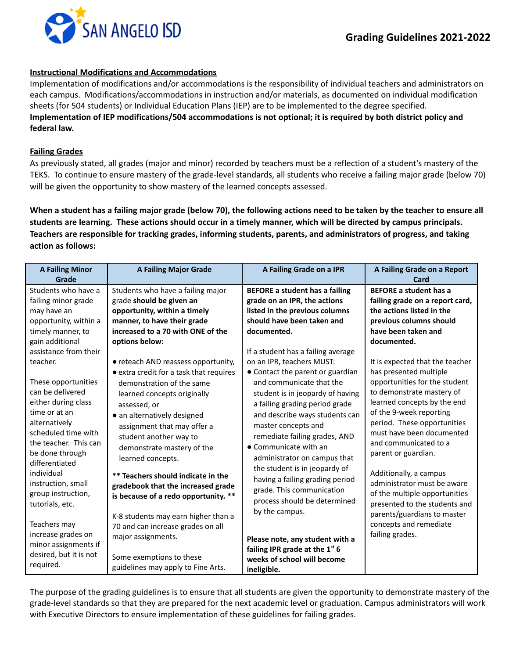

#### **Instructional Modifications and Accommodations**

Implementation of modifications and/or accommodations is the responsibility of individual teachers and administrators on each campus. Modifications/accommodations in instruction and/or materials, as documented on individual modification sheets (for 504 students) or Individual Education Plans (IEP) are to be implemented to the degree specified. Implementation of IEP modifications/504 accommodations is not optional; it is required by both district policy and **federal law.**

#### **Failing Grades**

As previously stated, all grades (major and minor) recorded by teachers must be a reflection of a student's mastery of the TEKS. To continue to ensure mastery of the grade-level standards, all students who receive a failing major grade (below 70) will be given the opportunity to show mastery of the learned concepts assessed.

When a student has a failing major grade (below 70), the following actions need to be taken by the teacher to ensure all students are learning. These actions should occur in a timely manner, which will be directed by campus principals. **Teachers are responsible for tracking grades, informing students, parents, and administrators of progress, and taking action as follows:**

| <b>A Failing Minor</b><br>Grade                                                                                                                                                                                                                                                                                                                                                                                                                                                                                               | <b>A Failing Major Grade</b>                                                                                                                                                                                                                                                                                                                                                                                                                                                                                                                                                                                                                                                                                                                   | A Failing Grade on a IPR                                                                                                                                                                                                                                                                                                                                                                                                                                                                                                                                                                                                                                                                                                                                                          | A Failing Grade on a Report<br>Card                                                                                                                                                                                                                                                                                                                                                                                                                                                                                                                                                                                                                                    |
|-------------------------------------------------------------------------------------------------------------------------------------------------------------------------------------------------------------------------------------------------------------------------------------------------------------------------------------------------------------------------------------------------------------------------------------------------------------------------------------------------------------------------------|------------------------------------------------------------------------------------------------------------------------------------------------------------------------------------------------------------------------------------------------------------------------------------------------------------------------------------------------------------------------------------------------------------------------------------------------------------------------------------------------------------------------------------------------------------------------------------------------------------------------------------------------------------------------------------------------------------------------------------------------|-----------------------------------------------------------------------------------------------------------------------------------------------------------------------------------------------------------------------------------------------------------------------------------------------------------------------------------------------------------------------------------------------------------------------------------------------------------------------------------------------------------------------------------------------------------------------------------------------------------------------------------------------------------------------------------------------------------------------------------------------------------------------------------|------------------------------------------------------------------------------------------------------------------------------------------------------------------------------------------------------------------------------------------------------------------------------------------------------------------------------------------------------------------------------------------------------------------------------------------------------------------------------------------------------------------------------------------------------------------------------------------------------------------------------------------------------------------------|
| Students who have a<br>failing minor grade<br>may have an<br>opportunity, within a<br>timely manner, to<br>gain additional<br>assistance from their<br>teacher.<br>These opportunities<br>can be delivered<br>either during class<br>time or at an<br>alternatively<br>scheduled time with<br>the teacher. This can<br>be done through<br>differentiated<br>individual<br>instruction, small<br>group instruction,<br>tutorials, etc.<br>Teachers may<br>increase grades on<br>minor assignments if<br>desired, but it is not | Students who have a failing major<br>grade should be given an<br>opportunity, within a timely<br>manner, to have their grade<br>increased to a 70 with ONE of the<br>options below:<br>• reteach AND reassess opportunity,<br>• extra credit for a task that requires<br>demonstration of the same<br>learned concepts originally<br>assessed, or<br>• an alternatively designed<br>assignment that may offer a<br>student another way to<br>demonstrate mastery of the<br>learned concepts.<br>** Teachers should indicate in the<br>gradebook that the increased grade<br>is because of a redo opportunity. **<br>K-8 students may earn higher than a<br>70 and can increase grades on all<br>major assignments.<br>Some exemptions to these | <b>BEFORE a student has a failing</b><br>grade on an IPR, the actions<br>listed in the previous columns<br>should have been taken and<br>documented.<br>If a student has a failing average<br>on an IPR, teachers MUST:<br>• Contact the parent or guardian<br>and communicate that the<br>student is in jeopardy of having<br>a failing grading period grade<br>and describe ways students can<br>master concepts and<br>remediate failing grades, AND<br>$\bullet$ Communicate with an<br>administrator on campus that<br>the student is in jeopardy of<br>having a failing grading period<br>grade. This communication<br>process should be determined<br>by the campus.<br>Please note, any student with a<br>failing IPR grade at the $1st 6$<br>weeks of school will become | <b>BEFORE a student has a</b><br>failing grade on a report card,<br>the actions listed in the<br>previous columns should<br>have been taken and<br>documented.<br>It is expected that the teacher<br>has presented multiple<br>opportunities for the student<br>to demonstrate mastery of<br>learned concepts by the end<br>of the 9-week reporting<br>period. These opportunities<br>must have been documented<br>and communicated to a<br>parent or guardian.<br>Additionally, a campus<br>administrator must be aware<br>of the multiple opportunities<br>presented to the students and<br>parents/guardians to master<br>concepts and remediate<br>failing grades. |
| required.                                                                                                                                                                                                                                                                                                                                                                                                                                                                                                                     | guidelines may apply to Fine Arts.                                                                                                                                                                                                                                                                                                                                                                                                                                                                                                                                                                                                                                                                                                             | ineligible.                                                                                                                                                                                                                                                                                                                                                                                                                                                                                                                                                                                                                                                                                                                                                                       |                                                                                                                                                                                                                                                                                                                                                                                                                                                                                                                                                                                                                                                                        |

The purpose of the grading guidelines is to ensure that all students are given the opportunity to demonstrate mastery of the grade-level standards so that they are prepared for the next academic level or graduation. Campus administrators will work with Executive Directors to ensure implementation of these guidelines for failing grades.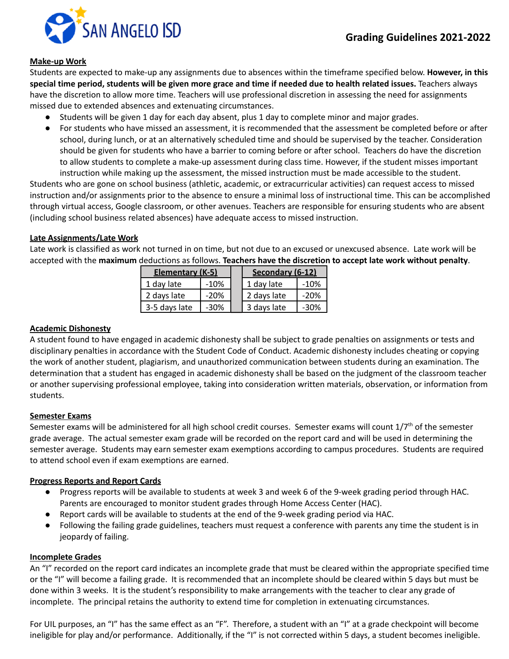

## **Make-up Work**

Students are expected to make-up any assignments due to absences within the timeframe specified below. **However, in this** special time period, students will be given more grace and time if needed due to health related issues. Teachers always have the discretion to allow more time. Teachers will use professional discretion in assessing the need for assignments missed due to extended absences and extenuating circumstances.

- Students will be given 1 day for each day absent, plus 1 day to complete minor and major grades.
- For students who have missed an assessment, it is recommended that the assessment be completed before or after school, during lunch, or at an alternatively scheduled time and should be supervised by the teacher. Consideration should be given for students who have a barrier to coming before or after school. Teachers do have the discretion to allow students to complete a make-up assessment during class time. However, if the student misses important instruction while making up the assessment, the missed instruction must be made accessible to the student.

Students who are gone on school business (athletic, academic, or extracurricular activities) can request access to missed instruction and/or assignments prior to the absence to ensure a minimal loss of instructional time. This can be accomplished through virtual access, Google classroom, or other avenues. Teachers are responsible for ensuring students who are absent (including school business related absences) have adequate access to missed instruction.

## **Late Assignments/Late Work**

Late work is classified as work not turned in on time, but not due to an excused or unexcused absence. Late work will be accepted with the **maximum** deductions as follows. **Teachers have the discretion to accept late work without penalty**.

| Elementary (K-5) |        | Secondary (6-12) |        |
|------------------|--------|------------------|--------|
| 1 day late       | $-10%$ | 1 day late       | $-10%$ |
| 2 days late      | $-20%$ | 2 days late      | $-20%$ |
| 3-5 days late    | $-30%$ | 3 days late      | -30%   |

#### **Academic Dishonesty**

A student found to have engaged in academic dishonesty shall be subject to grade penalties on assignments or tests and disciplinary penalties in accordance with the Student Code of Conduct. Academic dishonesty includes cheating or copying the work of another student, plagiarism, and unauthorized communication between students during an examination. The determination that a student has engaged in academic dishonesty shall be based on the judgment of the classroom teacher or another supervising professional employee, taking into consideration written materials, observation, or information from students.

## **Semester Exams**

Semester exams will be administered for all high school credit courses. Semester exams will count 1/7<sup>th</sup> of the semester grade average. The actual semester exam grade will be recorded on the report card and will be used in determining the semester average. Students may earn semester exam exemptions according to campus procedures. Students are required to attend school even if exam exemptions are earned.

## **Progress Reports and Report Cards**

- Progress reports will be available to students at week 3 and week 6 of the 9-week grading period through HAC. Parents are encouraged to monitor student grades through Home Access Center (HAC).
- Report cards will be available to students at the end of the 9-week grading period via HAC.
- Following the failing grade guidelines, teachers must request a conference with parents any time the student is in jeopardy of failing.

#### **Incomplete Grades**

An "I" recorded on the report card indicates an incomplete grade that must be cleared within the appropriate specified time or the "I" will become a failing grade. It is recommended that an incomplete should be cleared within 5 days but must be done within 3 weeks. It is the student's responsibility to make arrangements with the teacher to clear any grade of incomplete. The principal retains the authority to extend time for completion in extenuating circumstances.

For UIL purposes, an "I" has the same effect as an "F". Therefore, a student with an "I" at a grade checkpoint will become ineligible for play and/or performance. Additionally, if the "I" is not corrected within 5 days, a student becomes ineligible.